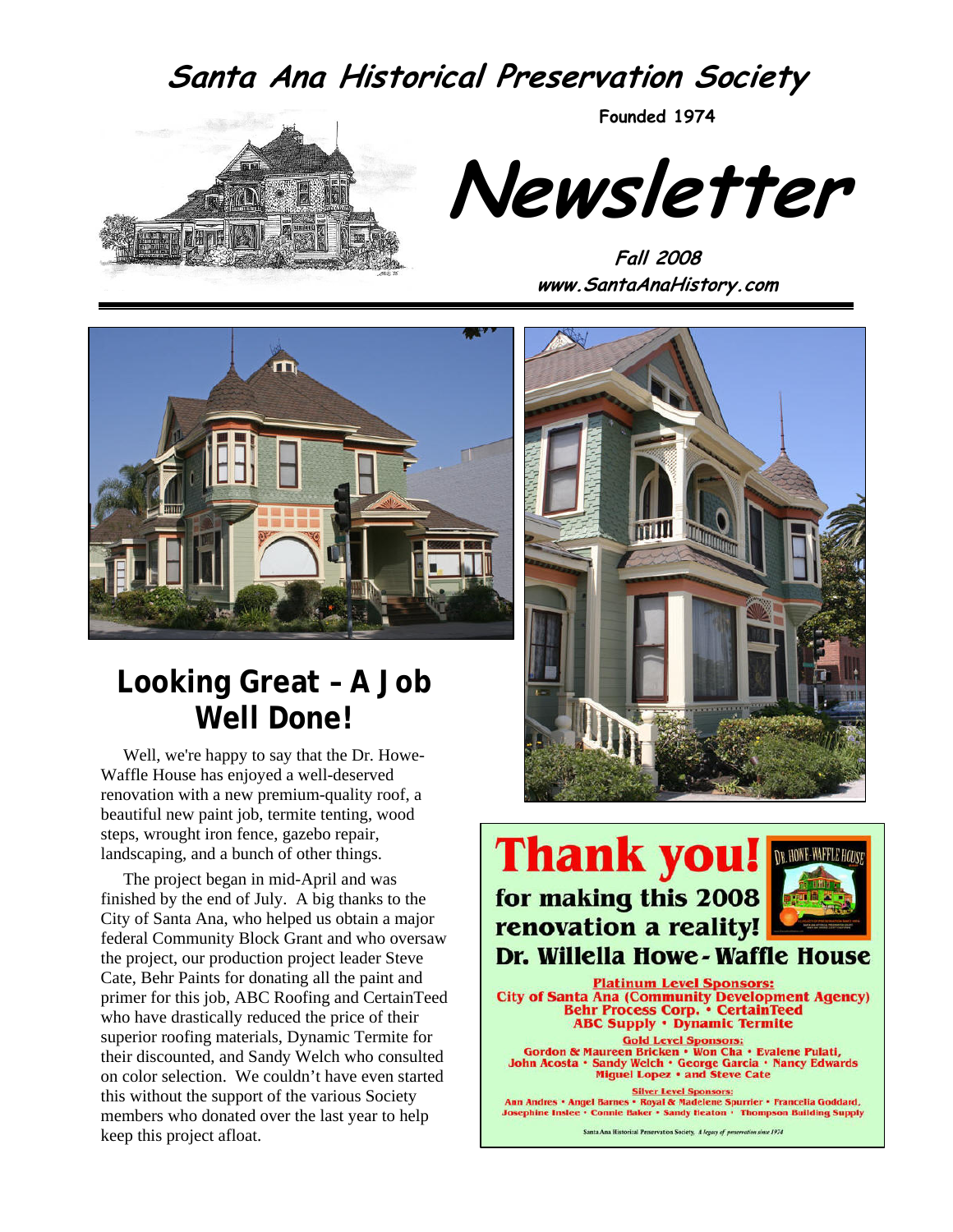## **Santa Ana Historical Preservation Society**



**Founded 1974** 

**Newsletter** 

**Fall 2008 www.SantaAnaHistory.com** 



# **Looking Great – A Job Well Done!**

Well, we're happy to say that the Dr. Howe-Waffle House has enjoyed a well-deserved renovation with a new premium-quality roof, a beautiful new paint job, termite tenting, wood steps, wrought iron fence, gazebo repair, landscaping, and a bunch of other things.

The project began in mid-April and was finished by the end of July. A big thanks to the City of Santa Ana, who helped us obtain a major federal Community Block Grant and who oversaw the project, our production project leader Steve Cate, Behr Paints for donating all the paint and primer for this job, ABC Roofing and CertainTeed who have drastically reduced the price of their superior roofing materials, Dynamic Termite for their discounted, and Sandy Welch who consulted on color selection. We couldn't have even started this without the support of the various Society members who donated over the last year to help keep this project afloat.



# **Thank you!** for making this 2008 renovation a reality!



### Dr. Willella Howe - Waffle House

**Platinum Level Sponsors: City of Santa Ana (Community Development Agency)**<br>Behr Process Corp. • CertainTeed<br>ABC Supply • Dynamic Termite

Gold Level Sponsors:<br>Gordon & Maureen Bricken • Won Cha • Evalene Pulati,<br>John Acosta • Sandy Welch • George Garcia • Nancy Edwards **Miguel Lopez . and Steve Cate** 

Silver Level Sponsors:<br>Ann Andres • Angel Barnes • Royal & Madelene Spurrier • Francelia Goddard,<br>Josephine Inslee • Connie Baker • Sandy Heaton • Thompson Building Supply

Santa Ana Historical Preservation Society, A legacy of preservation since 1974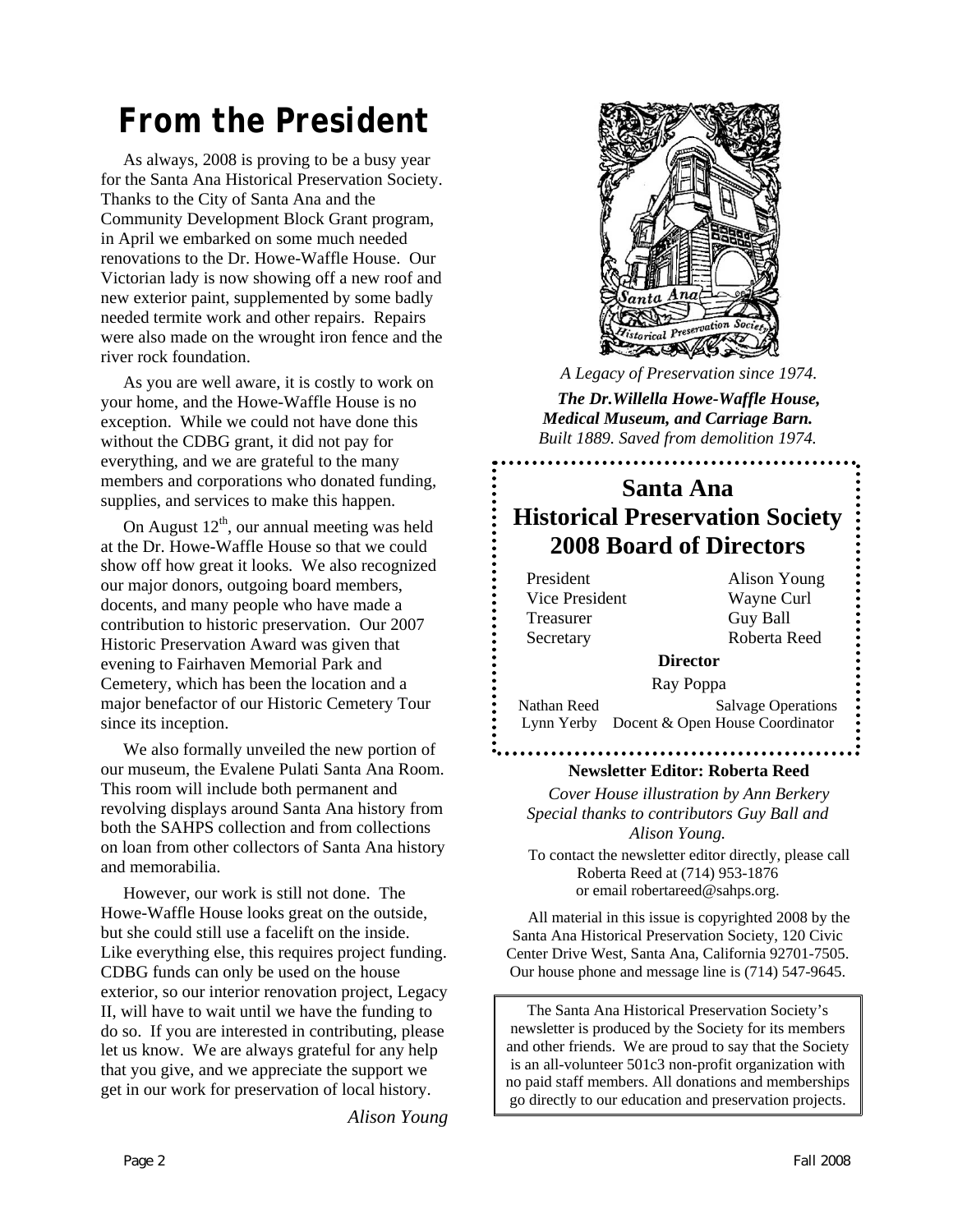# *From the President*

As always, 2008 is proving to be a busy year for the Santa Ana Historical Preservation Society. Thanks to the City of Santa Ana and the Community Development Block Grant program, in April we embarked on some much needed renovations to the Dr. Howe-Waffle House. Our Victorian lady is now showing off a new roof and new exterior paint, supplemented by some badly needed termite work and other repairs. Repairs were also made on the wrought iron fence and the river rock foundation.

As you are well aware, it is costly to work on your home, and the Howe-Waffle House is no exception. While we could not have done this without the CDBG grant, it did not pay for everything, and we are grateful to the many members and corporations who donated funding, supplies, and services to make this happen.

On August  $12<sup>th</sup>$ , our annual meeting was held at the Dr. Howe-Waffle House so that we could show off how great it looks. We also recognized our major donors, outgoing board members, docents, and many people who have made a contribution to historic preservation. Our 2007 Historic Preservation Award was given that evening to Fairhaven Memorial Park and Cemetery, which has been the location and a major benefactor of our Historic Cemetery Tour since its inception.

We also formally unveiled the new portion of our museum, the Evalene Pulati Santa Ana Room. This room will include both permanent and revolving displays around Santa Ana history from both the SAHPS collection and from collections on loan from other collectors of Santa Ana history and memorabilia.

However, our work is still not done. The Howe-Waffle House looks great on the outside, but she could still use a facelift on the inside. Like everything else, this requires project funding. CDBG funds can only be used on the house exterior, so our interior renovation project, Legacy II, will have to wait until we have the funding to do so. If you are interested in contributing, please let us know. We are always grateful for any help that you give, and we appreciate the support we get in our work for preservation of local history.

*Alison Young* 



*A Legacy of Preservation since 1974.* 

*The Dr.Willella Howe-Waffle House, Medical Museum, and Carriage Barn. Built 1889. Saved from demolition 1974.* 

### **Santa Ana Historical Preservation Society 2008 Board of Directors**

President Alison Young Vice President Wayne Curl Treasurer Guy Ball Secretary Roberta Reed

#### **Director**

Ray Poppa

Nathan Reed Salvage Operations Lynn Yerby Docent & Open House Coordinator

. . . . . . . . . . . . . .

#### **Newsletter Editor: Roberta Reed**

*Cover House illustration by Ann Berkery Special thanks to contributors Guy Ball and Alison Young.* 

To contact the newsletter editor directly, please call Roberta Reed at (714) 953-1876 or email robertareed@sahps.org.

All material in this issue is copyrighted 2008 by the Santa Ana Historical Preservation Society, 120 Civic Center Drive West, Santa Ana, California 92701-7505. Our house phone and message line is (714) 547-9645.

The Santa Ana Historical Preservation Society's newsletter is produced by the Society for its members and other friends. We are proud to say that the Society is an all-volunteer 501c3 non-profit organization with no paid staff members. All donations and memberships go directly to our education and preservation projects.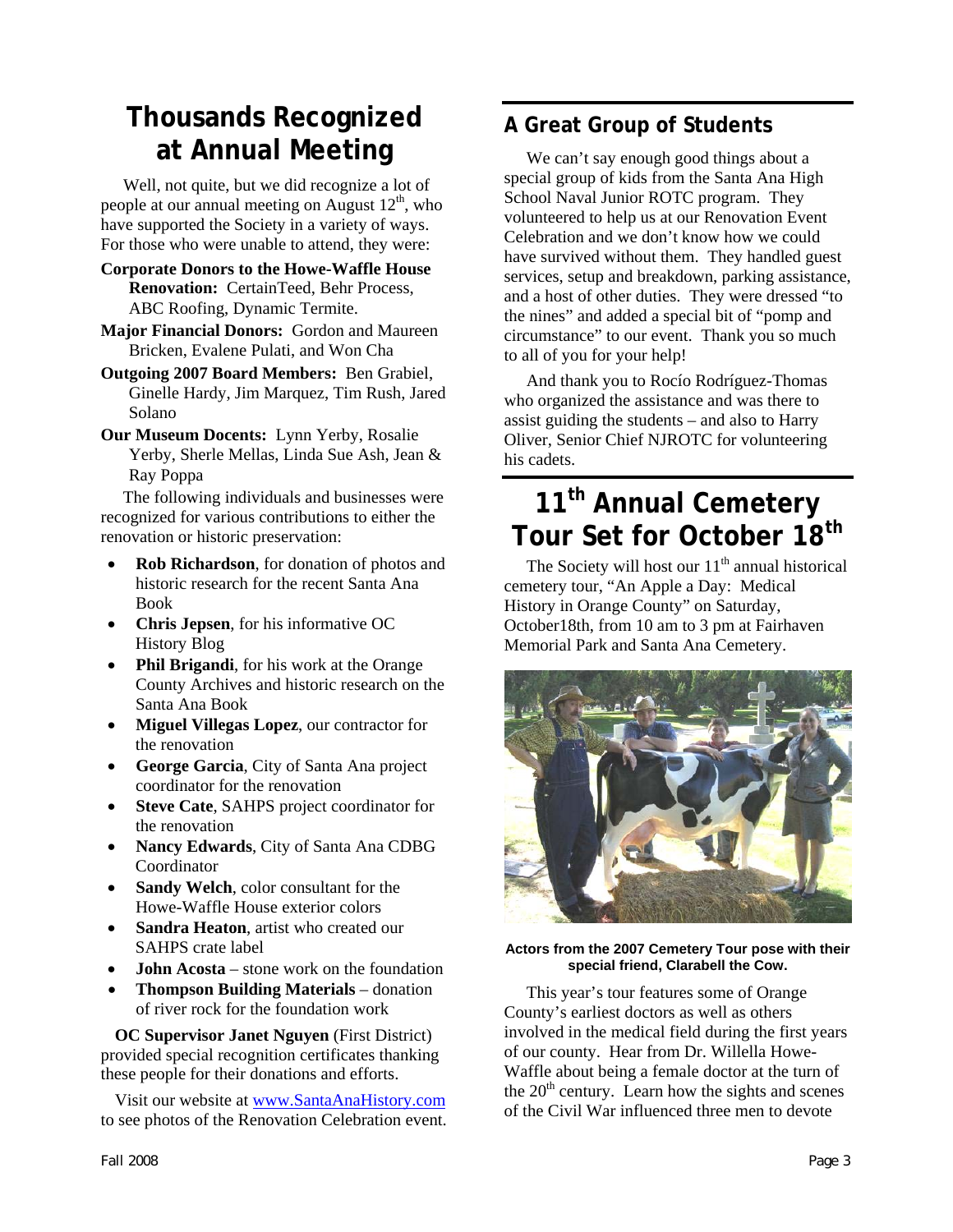## **Thousands Recognized at Annual Meeting**

Well, not quite, but we did recognize a lot of people at our annual meeting on August  $12<sup>th</sup>$ , who have supported the Society in a variety of ways. For those who were unable to attend, they were:

- **Corporate Donors to the Howe-Waffle House Renovation:** CertainTeed, Behr Process, ABC Roofing, Dynamic Termite.
- **Major Financial Donors:** Gordon and Maureen Bricken, Evalene Pulati, and Won Cha
- **Outgoing 2007 Board Members:** Ben Grabiel, Ginelle Hardy, Jim Marquez, Tim Rush, Jared Solano
- **Our Museum Docents:** Lynn Yerby, Rosalie Yerby, Sherle Mellas, Linda Sue Ash, Jean & Ray Poppa

The following individuals and businesses were recognized for various contributions to either the renovation or historic preservation:

- **Rob Richardson**, for donation of photos and historic research for the recent Santa Ana Book
- **Chris Jepsen**, for his informative OC History Blog
- **Phil Brigandi**, for his work at the Orange County Archives and historic research on the Santa Ana Book
- **Miguel Villegas Lopez**, our contractor for the renovation
- **George Garcia**, City of Santa Ana project coordinator for the renovation
- **Steve Cate**, SAHPS project coordinator for the renovation
- **Nancy Edwards**, City of Santa Ana CDBG Coordinator
- **Sandy Welch**, color consultant for the Howe-Waffle House exterior colors
- **Sandra Heaton**, artist who created our SAHPS crate label
- **John Acosta** stone work on the foundation
- **Thompson Building Materials** donation of river rock for the foundation work

**OC Supervisor Janet Nguyen** (First District) provided special recognition certificates thanking these people for their donations and efforts.

Visit our website at [www.SantaAnaHistory.com](http://www.santaanahistory.com/) to see photos of the Renovation Celebration event.

### **A Great Group of Students**

We can't say enough good things about a special group of kids from the Santa Ana High School Naval Junior ROTC program. They volunteered to help us at our Renovation Event Celebration and we don't know how we could have survived without them. They handled guest services, setup and breakdown, parking assistance, and a host of other duties. They were dressed "to the nines" and added a special bit of "pomp and circumstance" to our event. Thank you so much to all of you for your help!

And thank you to Rocío Rodríguez-Thomas who organized the assistance and was there to assist guiding the students – and also to Harry Oliver, Senior Chief NJROTC for volunteering his cadets.

# **11th Annual Cemetery Tour Set for October 18th**

The Society will host our  $11<sup>th</sup>$  annual historical cemetery tour, "An Apple a Day: Medical History in Orange County" on Saturday, October18th, from 10 am to 3 pm at Fairhaven Memorial Park and Santa Ana Cemetery.



**Actors from the 2007 Cemetery Tour pose with their special friend, Clarabell the Cow.** 

This year's tour features some of Orange County's earliest doctors as well as others involved in the medical field during the first years of our county. Hear from Dr. Willella Howe-Waffle about being a female doctor at the turn of the  $20<sup>th</sup>$  century. Learn how the sights and scenes of the Civil War influenced three men to devote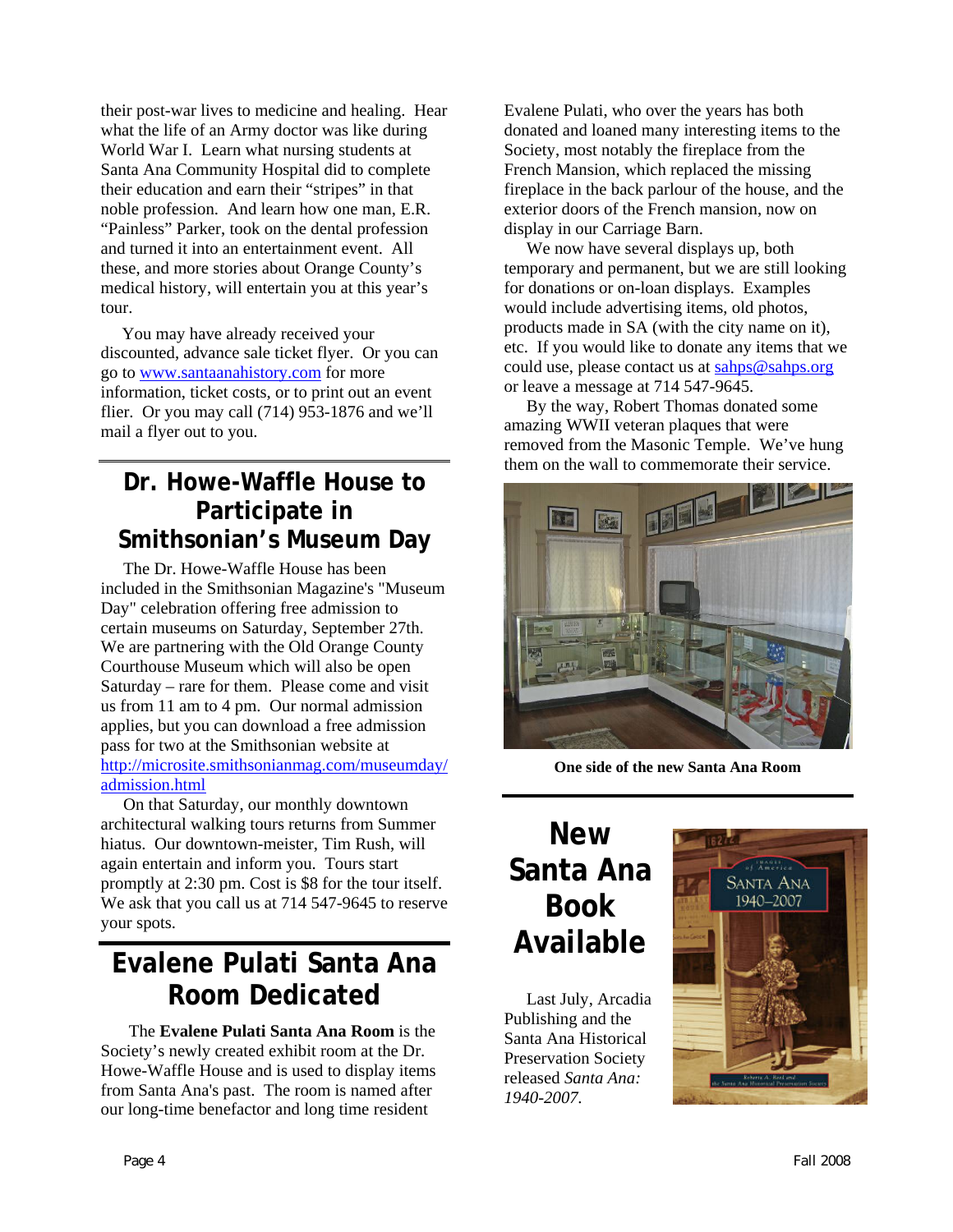their post-war lives to medicine and healing. Hear what the life of an Army doctor was like during World War I. Learn what nursing students at Santa Ana Community Hospital did to complete their education and earn their "stripes" in that noble profession. And learn how one man, E.R. "Painless" Parker, took on the dental profession and turned it into an entertainment event. All these, and more stories about Orange County's medical history, will entertain you at this year's tour.

You may have already received your discounted, advance sale ticket flyer. Or you can go to [www.santaanahistory.com](http://www.santaanahistory.com/) for more information, ticket costs, or to print out an event flier. Or you may call (714) 953-1876 and we'll mail a flyer out to you.

### **Dr. Howe-Waffle House to Participate in Smithsonian's Museum Day**

The Dr. Howe-Waffle House has been included in the Smithsonian Magazine's "Museum Day" celebration offering free admission to certain museums on Saturday, September 27th. We are partnering with the Old Orange County Courthouse Museum which will also be open Saturday – rare for them. Please come and visit us from 11 am to 4 pm. Our normal admission applies, but you can download a free admission pass for two at the Smithsonian website at [http://microsite.smithsonianmag.com/museumday/](http://microsite.smithsonianmag.com/museumday/admission.html) [admission.html](http://microsite.smithsonianmag.com/museumday/admission.html)

On that Saturday, our monthly downtown architectural walking tours returns from Summer hiatus. Our downtown-meister, Tim Rush, will again entertain and inform you. Tours start promptly at 2:30 pm. Cost is \$8 for the tour itself. We ask that you call us at 714 547-9645 to reserve your spots.

### **Evalene Pulati Santa Ana Room Dedicated**

The **Evalene Pulati Santa Ana Room** is the Society's newly created exhibit room at the Dr. Howe-Waffle House and is used to display items from Santa Ana's past. The room is named after our long-time benefactor and long time resident

Evalene Pulati, who over the years has both donated and loaned many interesting items to the Society, most notably the fireplace from the French Mansion, which replaced the missing fireplace in the back parlour of the house, and the exterior doors of the French mansion, now on display in our Carriage Barn.

We now have several displays up, both temporary and permanent, but we are still looking for donations or on-loan displays. Examples would include advertising items, old photos, products made in SA (with the city name on it), etc. If you would like to donate any items that we could use, please contact us at [sahps@sahps.org](mailto:sahps@sahps.org) or leave a message at 714 547-9645.

By the way, Robert Thomas donated some amazing WWII veteran plaques that were removed from the Masonic Temple. We've hung them on the wall to commemorate their service.



**One side of the new Santa Ana Room** 

# **New Santa Ana Book Available**

Last July, Arcadia Publishing and the Santa Ana Historical Preservation Society released *Santa Ana: 1940-2007.* 

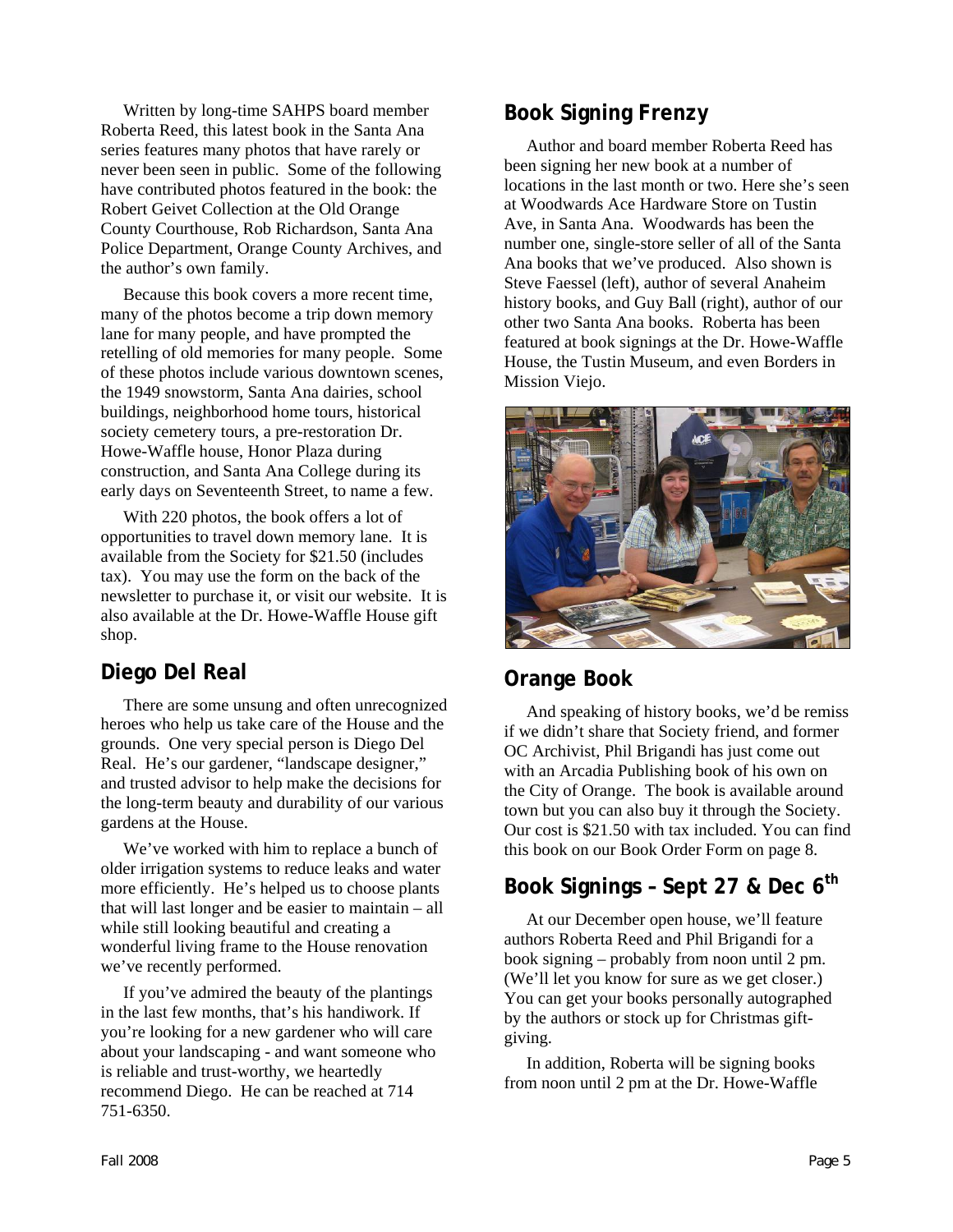Written by long-time SAHPS board member Roberta Reed, this latest book in the Santa Ana series features many photos that have rarely or never been seen in public. Some of the following have contributed photos featured in the book: the Robert Geivet Collection at the Old Orange County Courthouse, Rob Richardson, Santa Ana Police Department, Orange County Archives, and the author's own family.

Because this book covers a more recent time, many of the photos become a trip down memory lane for many people, and have prompted the retelling of old memories for many people. Some of these photos include various downtown scenes, the 1949 snowstorm, Santa Ana dairies, school buildings, neighborhood home tours, historical society cemetery tours, a pre-restoration Dr. Howe-Waffle house, Honor Plaza during construction, and Santa Ana College during its early days on Seventeenth Street, to name a few.

With 220 photos, the book offers a lot of opportunities to travel down memory lane. It is available from the Society for \$21.50 (includes tax). You may use the form on the back of the newsletter to purchase it, or visit our website. It is also available at the Dr. Howe-Waffle House gift shop.

#### **Diego Del Real**

There are some unsung and often unrecognized heroes who help us take care of the House and the grounds. One very special person is Diego Del Real. He's our gardener, "landscape designer," and trusted advisor to help make the decisions for the long-term beauty and durability of our various gardens at the House.

We've worked with him to replace a bunch of older irrigation systems to reduce leaks and water more efficiently. He's helped us to choose plants that will last longer and be easier to maintain – all while still looking beautiful and creating a wonderful living frame to the House renovation we've recently performed.

If you've admired the beauty of the plantings in the last few months, that's his handiwork. If you're looking for a new gardener who will care about your landscaping - and want someone who is reliable and trust-worthy, we heartedly recommend Diego. He can be reached at 714 751-6350.

Author and board member Roberta Reed has been signing her new book at a number of locations in the last month or two. Here she's seen at Woodwards Ace Hardware Store on Tustin Ave, in Santa Ana. Woodwards has been the number one, single-store seller of all of the Santa Ana books that we've produced. Also shown is Steve Faessel (left), author of several Anaheim history books, and Guy Ball (right), author of our other two Santa Ana books. Roberta has been featured at book signings at the Dr. Howe-Waffle House, the Tustin Museum, and even Borders in Mission Viejo.



### **Orange Book**

And speaking of history books, we'd be remiss if we didn't share that Society friend, and former OC Archivist, Phil Brigandi has just come out with an Arcadia Publishing book of his own on the City of Orange. The book is available around town but you can also buy it through the Society. Our cost is \$21.50 with tax included. You can find this book on our Book Order Form on page 8.

### **Book Signings – Sept 27 & Dec 6th**

At our December open house, we'll feature authors Roberta Reed and Phil Brigandi for a book signing – probably from noon until 2 pm. (We'll let you know for sure as we get closer.) You can get your books personally autographed by the authors or stock up for Christmas giftgiving.

In addition, Roberta will be signing books from noon until 2 pm at the Dr. Howe-Waffle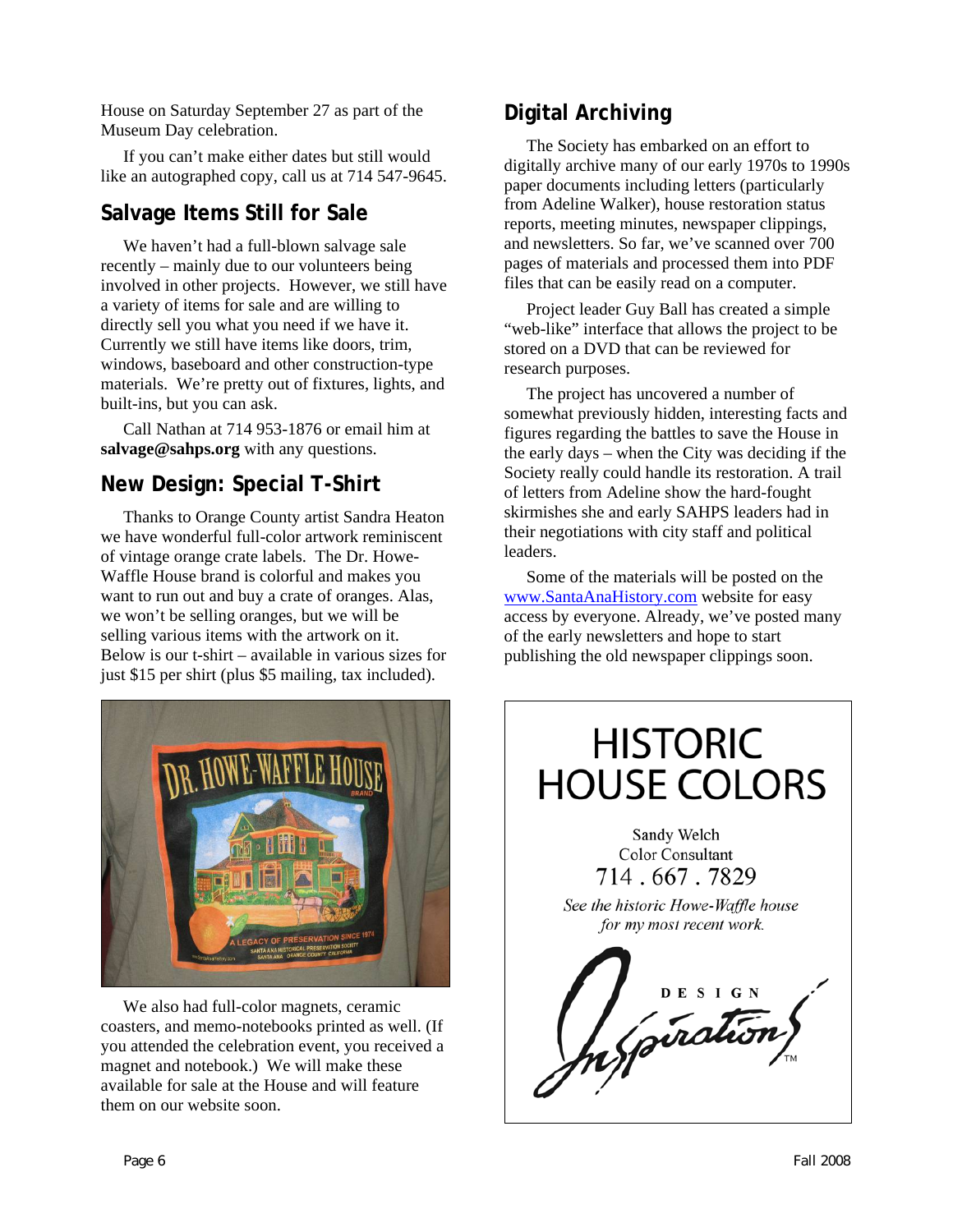House on Saturday September 27 as part of the Museum Day celebration.

If you can't make either dates but still would like an autographed copy, call us at 714 547-9645.

### **Salvage Items Still for Sale**

We haven't had a full-blown salvage sale recently – mainly due to our volunteers being involved in other projects. However, we still have a variety of items for sale and are willing to directly sell you what you need if we have it. Currently we still have items like doors, trim, windows, baseboard and other construction-type materials. We're pretty out of fixtures, lights, and built-ins, but you can ask.

Call Nathan at 714 953-1876 or email him at **salvage@sahps.org** with any questions.

### **New Design: Special T-Shirt**

Thanks to Orange County artist Sandra Heaton we have wonderful full-color artwork reminiscent of vintage orange crate labels. The Dr. Howe-Waffle House brand is colorful and makes you want to run out and buy a crate of oranges. Alas, we won't be selling oranges, but we will be selling various items with the artwork on it. Below is our t-shirt – available in various sizes for just \$15 per shirt (plus \$5 mailing, tax included).



We also had full-color magnets, ceramic coasters, and memo-notebooks printed as well. (If you attended the celebration event, you received a magnet and notebook.) We will make these available for sale at the House and will feature them on our website soon.

### **Digital Archiving**

The Society has embarked on an effort to digitally archive many of our early 1970s to 1990s paper documents including letters (particularly from Adeline Walker), house restoration status reports, meeting minutes, newspaper clippings, and newsletters. So far, we've scanned over 700 pages of materials and processed them into PDF files that can be easily read on a computer.

Project leader Guy Ball has created a simple "web-like" interface that allows the project to be stored on a DVD that can be reviewed for research purposes.

The project has uncovered a number of somewhat previously hidden, interesting facts and figures regarding the battles to save the House in the early days – when the City was deciding if the Society really could handle its restoration. A trail of letters from Adeline show the hard-fought skirmishes she and early SAHPS leaders had in their negotiations with city staff and political leaders.

Some of the materials will be posted on the [www.SantaAnaHistory.com](http://www.santaanahistory.com/) website for easy access by everyone. Already, we've posted many of the early newsletters and hope to start publishing the old newspaper clippings soon.

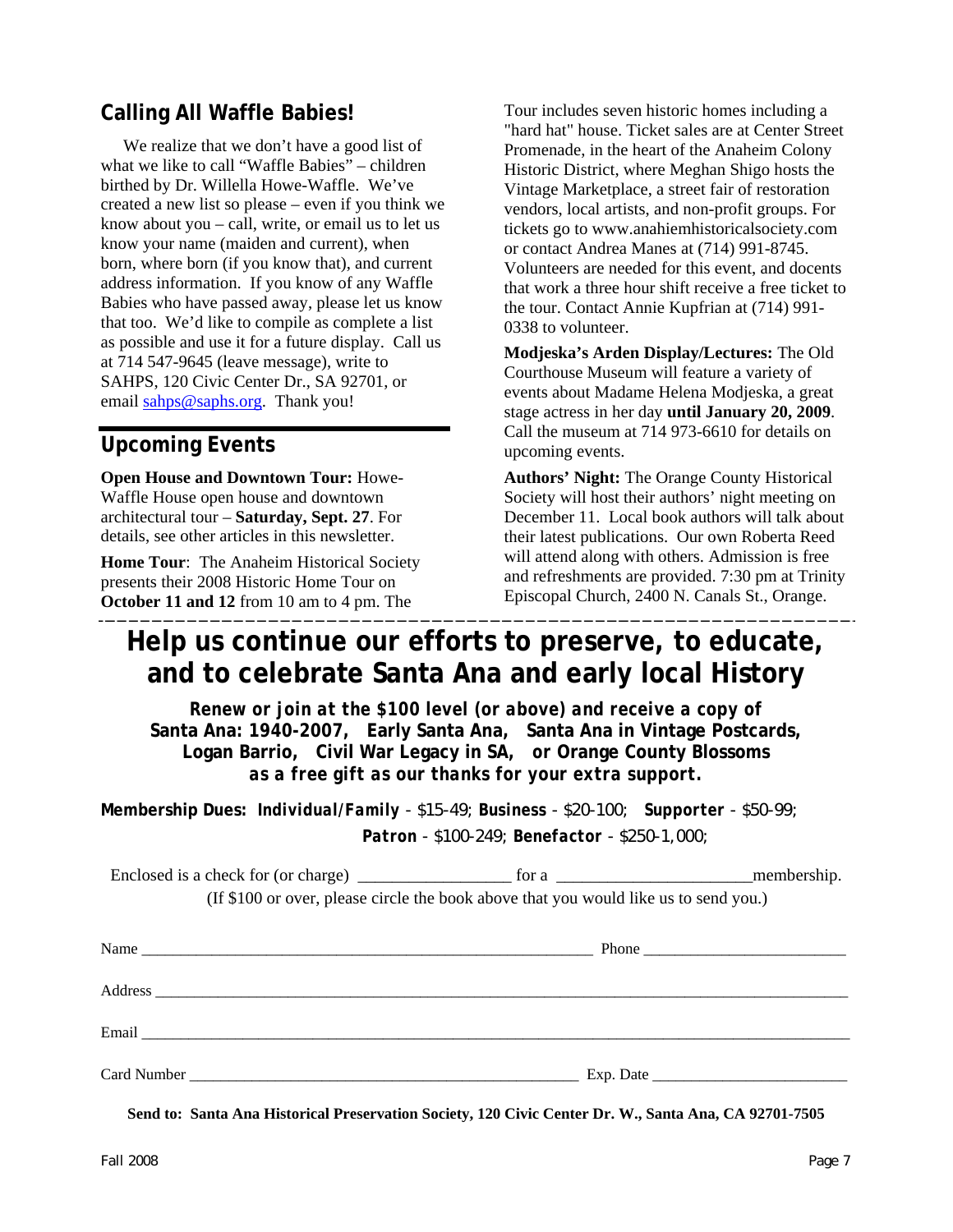### **Calling All Waffle Babies!**

We realize that we don't have a good list of what we like to call "Waffle Babies" – children birthed by Dr. Willella Howe-Waffle. We've created a new list so please – even if you think we know about you – call, write, or email us to let us know your name (maiden and current), when born, where born (if you know that), and current address information. If you know of any Waffle Babies who have passed away, please let us know that too. We'd like to compile as complete a list as possible and use it for a future display. Call us at 714 547-9645 (leave message), write to SAHPS, 120 Civic Center Dr., SA 92701, or email [sahps@saphs.org](mailto:sahps@saphs.org). Thank you!

#### **Upcoming Events**

**Open House and Downtown Tour:** Howe-Waffle House open house and downtown architectural tour – **Saturday, Sept. 27**. For details, see other articles in this newsletter.

**Home Tour**: The Anaheim Historical Society presents their 2008 Historic Home Tour on **October 11 and 12** from 10 am to 4 pm. The

Tour includes seven historic homes including a "hard hat" house. Ticket sales are at Center Street Promenade, in the heart of the Anaheim Colony Historic District, where Meghan Shigo hosts the Vintage Marketplace, a street fair of restoration vendors, local artists, and non-profit groups. For tickets go to www.anahiemhistoricalsociety.com or contact Andrea Manes at (714) 991-8745. Volunteers are needed for this event, and docents that work a three hour shift receive a free ticket to the tour. Contact Annie Kupfrian at (714) 991- 0338 to volunteer.

**Modjeska's Arden Display/Lectures:** The Old Courthouse Museum will feature a variety of events about Madame Helena Modjeska, a great stage actress in her day **until January 20, 2009**. Call the museum at 714 973-6610 for details on upcoming events.

**Authors' Night:** The Orange County Historical Society will host their authors' night meeting on December 11. Local book authors will talk about their latest publications. Our own Roberta Reed will attend along with others. Admission is free and refreshments are provided. 7:30 pm at Trinity Episcopal Church, 2400 N. Canals St., Orange.

### **Help us continue our efforts to preserve, to educate, and to celebrate Santa Ana and early local History**

*Renew or join at the \$100 level (or above) and receive a copy of*  **Santa Ana: 1940-2007***,* **Early Santa Ana, Santa Ana in Vintage Postcards, Logan Barrio, Civil War Legacy in SA,** *or* **Orange County Blossoms** *as a free gift as our thanks for your extra support.* 

**Membership Dues:** *Individual/Family - \$15-49; Business - \$20-100; Supporter - \$50-99; Patron - \$100-249; Benefactor - \$250-1,000;* 

| (If \$100 or over, please circle the book above that you would like us to send you.) |           |
|--------------------------------------------------------------------------------------|-----------|
|                                                                                      |           |
|                                                                                      |           |
|                                                                                      |           |
|                                                                                      |           |
|                                                                                      | Exp. Date |

**Send to: Santa Ana Historical Preservation Society, 120 Civic Center Dr. W., Santa Ana, CA 92701-7505**